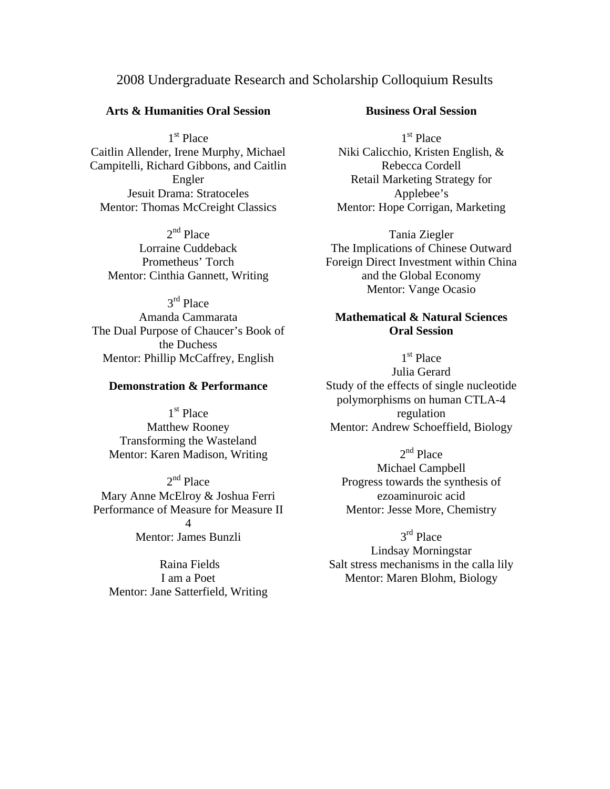# 2008 Undergraduate Research and Scholarship Colloquium Results

### **Arts & Humanities Oral Session**

1<sup>st</sup> Place Caitlin Allender, Irene Murphy, Michael Campitelli, Richard Gibbons, and Caitlin Engler Jesuit Drama: Stratoceles Mentor: Thomas McCreight Classics

2<sup>nd</sup> Place Lorraine Cuddeback Prometheus' Torch Mentor: Cinthia Gannett, Writing

3rd Place Amanda Cammarata The Dual Purpose of Chaucer's Book of the Duchess Mentor: Phillip McCaffrey, English

### **Demonstration & Performance**

1st Place Matthew Rooney Transforming the Wasteland Mentor: Karen Madison, Writing

 $2<sup>nd</sup>$  Place Mary Anne McElroy & Joshua Ferri Performance of Measure for Measure II  $\Delta$ Mentor: James Bunzli

 Raina Fields I am a Poet Mentor: Jane Satterfield, Writing

## **Business Oral Session**

1<sup>st</sup> Place Niki Calicchio, Kristen English, & Rebecca Cordell Retail Marketing Strategy for Applebee's Mentor: Hope Corrigan, Marketing

Tania Ziegler The Implications of Chinese Outward Foreign Direct Investment within China and the Global Economy Mentor: Vange Ocasio

## **Mathematical & Natural Sciences Oral Session**

1<sup>st</sup> Place Julia Gerard Study of the effects of single nucleotide polymorphisms on human CTLA-4 regulation Mentor: Andrew Schoeffield, Biology

 $2<sup>nd</sup>$  Place Michael Campbell Progress towards the synthesis of ezoaminuroic acid Mentor: Jesse More, Chemistry

3<sup>rd</sup> Place Lindsay Morningstar Salt stress mechanisms in the calla lily Mentor: Maren Blohm, Biology